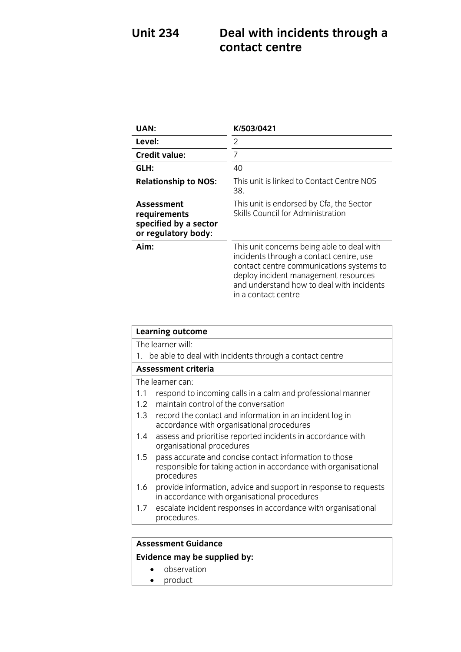# **Unit 234 Deal with incidents through a**

| UAN:                                                                              | K/503/0421                                                                                                                                                                                                                                    |
|-----------------------------------------------------------------------------------|-----------------------------------------------------------------------------------------------------------------------------------------------------------------------------------------------------------------------------------------------|
| Level:                                                                            | 2                                                                                                                                                                                                                                             |
| <b>Credit value:</b>                                                              | 7                                                                                                                                                                                                                                             |
| GLH:                                                                              | 40                                                                                                                                                                                                                                            |
| <b>Relationship to NOS:</b>                                                       | This unit is linked to Contact Centre NOS<br>38.                                                                                                                                                                                              |
| <b>Assessment</b><br>requirements<br>specified by a sector<br>or regulatory body: | This unit is endorsed by Cfa, the Sector<br>Skills Council for Administration                                                                                                                                                                 |
| Aim:                                                                              | This unit concerns being able to deal with<br>incidents through a contact centre, use<br>contact centre communications systems to<br>deploy incident management resources<br>and understand how to deal with incidents<br>in a contact centre |

| <b>Learning outcome</b>                                                                                                                        |
|------------------------------------------------------------------------------------------------------------------------------------------------|
| The learner will:                                                                                                                              |
| 1. be able to deal with incidents through a contact centre                                                                                     |
| <b>Assessment criteria</b>                                                                                                                     |
| The learner can:                                                                                                                               |
| respond to incoming calls in a calm and professional manner<br>1.1                                                                             |
| maintain control of the conversation<br>1.2                                                                                                    |
| 1.3<br>record the contact and information in an incident log in<br>accordance with organisational procedures                                   |
| assess and prioritise reported incidents in accordance with<br>1.4<br>organisational procedures                                                |
| pass accurate and concise contact information to those<br>1.5<br>responsible for taking action in accordance with organisational<br>procedures |
| provide information, advice and support in response to requests<br>1.6<br>in accordance with organisational procedures                         |
| escalate incident responses in accordance with organisational<br>1.7<br>procedures.                                                            |
|                                                                                                                                                |
| $\sim$ $\sim$ $\sim$ $\sim$ $\sim$ $\sim$                                                                                                      |

#### **Assessment Guidance**

### **Evidence may be supplied by:**

- observation
- product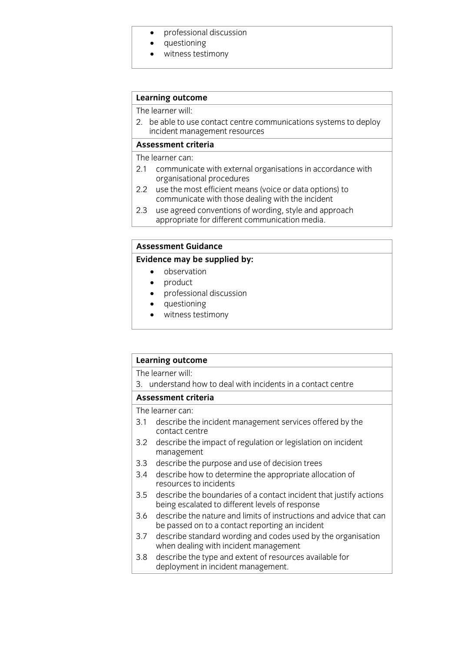- professional discussion<br>• questioning
- questioning<br>• witness testi
- witness testimony

## **Learning outcome**<br>The learner will:

2. be able to use contact centre communications systems to deploy incident management resources

#### Assessment criteria

The learner can:

- 2.1 communicate with external organisations in accordance with organisational procedures
- 2.2 use the most efficient means (voice or data options) to communicate with those dealing with the incident
- use agreed conventions of wording, style and approach  $2.3$ appropriate for different communication media. appropriate for different communication media. The different communication media and the different communication media. The different communication media. The different communication media and the different communication m

#### **Assessment Guidance**

#### **Evidence may be supplied by:**

- **Evidence** observation<br> **Evidence moduct** 
	- product<br>• professie
	- professional discussion<br>• questioning
	- questioning
	- witness testimony

| <b>Learning outcome</b> |                                                                                                                       |
|-------------------------|-----------------------------------------------------------------------------------------------------------------------|
|                         | The learner will:                                                                                                     |
|                         | 3. understand how to deal with incidents in a contact centre                                                          |
|                         | Assessment criteria                                                                                                   |
|                         | The learner can:                                                                                                      |
| 3.1                     | describe the incident management services offered by the<br>contact centre                                            |
|                         | 3.2 describe the impact of regulation or legislation on incident<br>management                                        |
| 3.3                     | describe the purpose and use of decision trees                                                                        |
| 3.4                     | describe how to determine the appropriate allocation of<br>resources to incidents                                     |
| 3.5                     | describe the boundaries of a contact incident that justify actions<br>being escalated to different levels of response |
| 3.6                     | describe the nature and limits of instructions and advice that can<br>be passed on to a contact reporting an incident |
| 3.7                     | describe standard wording and codes used by the organisation<br>when dealing with incident management                 |
| 3.8                     | describe the type and extent of resources available for<br>deployment in incident management.                         |